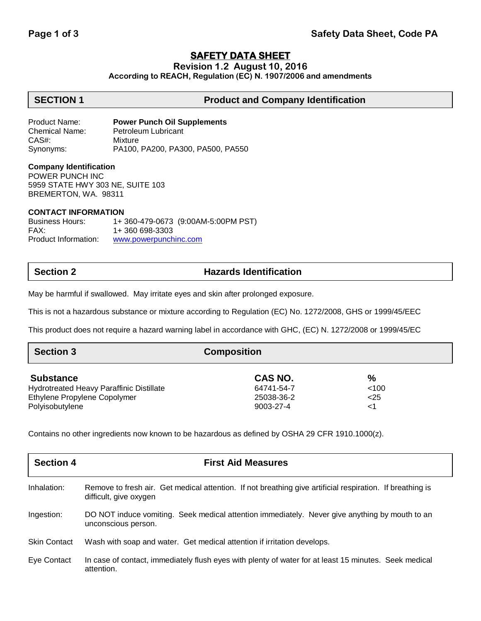# **SAFETY DATA SHEET**

**Revision 1.2 August 10, 2016**

**According to REACH, Regulation (EC) N. 1907/2006 and amendments**

## **SECTION 1 Product and Company Identification**

Product Name: **Power Punch Oil Supplements** Chemical Name: Petroleum Lubricant CAS#: Mixture Synonyms: PA100, PA200, PA300, PA500, PA550

### **Company Identification**

POWER PUNCH INC 5959 STATE HWY 303 NE, SUITE 103 BREMERTON, WA. 98311

### **CONTACT INFORMATION**

Business Hours: 1+ 360-479-0673 (9:00AM-5:00PM PST) FAX: 1+ 360 698-3303 Product Information: [www.powerpunchinc.com](http://www.powerpunchinc.com/)

# **Section 2 Hazards Identification**

May be harmful if swallowed. May irritate eyes and skin after prolonged exposure.

This is not a hazardous substance or mixture according to Regulation (EC) No. 1272/2008, GHS or 1999/45/EEC

This product does not require a hazard warning label in accordance with GHC, (EC) N. 1272/2008 or 1999/45/EC

| <b>Section 3</b>                         | <b>Composition</b> |       |  |
|------------------------------------------|--------------------|-------|--|
| <b>Substance</b>                         | CAS NO.            | %     |  |
| Hydrotreated Heavy Paraffinic Distillate | 64741-54-7         | < 100 |  |
| Ethylene Propylene Copolymer             | 25038-36-2         | $25$  |  |
| Polyisobutylene                          | 9003-27-4          | <1    |  |

Contains no other ingredients now known to be hazardous as defined by OSHA 29 CFR 1910.1000(z).

| <b>Section 4</b>    | <b>First Aid Measures</b>                                                                                                           |
|---------------------|-------------------------------------------------------------------------------------------------------------------------------------|
| Inhalation:         | Remove to fresh air. Get medical attention. If not breathing give artificial respiration. If breathing is<br>difficult, give oxygen |
| Ingestion:          | DO NOT induce vomiting. Seek medical attention immediately. Never give anything by mouth to an<br>unconscious person.               |
| <b>Skin Contact</b> | Wash with soap and water. Get medical attention if irritation develops.                                                             |
| Eye Contact         | In case of contact, immediately flush eyes with plenty of water for at least 15 minutes. Seek medical<br>attention.                 |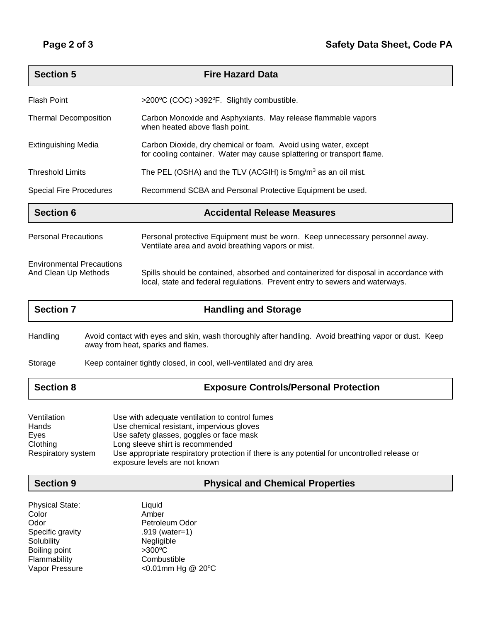| <b>Section 5</b>                                         | <b>Fire Hazard Data</b>                                                                                                                                                |  |
|----------------------------------------------------------|------------------------------------------------------------------------------------------------------------------------------------------------------------------------|--|
| <b>Flash Point</b>                                       | >200°C (COC) >392°F. Slightly combustible.                                                                                                                             |  |
| <b>Thermal Decomposition</b>                             | Carbon Monoxide and Asphyxiants. May release flammable vapors<br>when heated above flash point.                                                                        |  |
| <b>Extinguishing Media</b>                               | Carbon Dioxide, dry chemical or foam. Avoid using water, except<br>for cooling container. Water may cause splattering or transport flame.                              |  |
| <b>Threshold Limits</b>                                  | The PEL (OSHA) and the TLV (ACGIH) is $5mg/m3$ as an oil mist.                                                                                                         |  |
| <b>Special Fire Procedures</b>                           | Recommend SCBA and Personal Protective Equipment be used.                                                                                                              |  |
| <b>Section 6</b>                                         | <b>Accidental Release Measures</b>                                                                                                                                     |  |
| <b>Personal Precautions</b>                              | Personal protective Equipment must be worn. Keep unnecessary personnel away.<br>Ventilate area and avoid breathing vapors or mist.                                     |  |
| <b>Environmental Precautions</b><br>And Clean Up Methods | Spills should be contained, absorbed and containerized for disposal in accordance with<br>local, state and federal regulations. Prevent entry to sewers and waterways. |  |

| <b>Section 7</b> | <b>Handling and Storage</b>                                                                                                                 |
|------------------|---------------------------------------------------------------------------------------------------------------------------------------------|
| Handling         | Avoid contact with eyes and skin, wash thoroughly after handling. Avoid breathing vapor or dust. Keep<br>away from heat, sparks and flames. |
| Storage          | Keep container tightly closed, in cool, well-ventilated and dry area                                                                        |
| <b>Section 8</b> | <b>Exposure Controls/Personal Protection</b>                                                                                                |

| Ventilation        | Use with adequate ventilation to control fumes                                                                                |
|--------------------|-------------------------------------------------------------------------------------------------------------------------------|
| Hands              | Use chemical resistant, impervious gloves                                                                                     |
| Eves               | Use safety glasses, goggles or face mask                                                                                      |
| Clothing           | Long sleeve shirt is recommended                                                                                              |
| Respiratory system | Use appropriate respiratory protection if there is any potential for uncontrolled release or<br>exposure levels are not known |

**Section 9 Physical and Chemical Properties**

| Liquid            |  |
|-------------------|--|
| Amber             |  |
| Petroleum Odor    |  |
| .919 (water=1)    |  |
| Negligible        |  |
| $>300^{\circ}$ C  |  |
| Combustible       |  |
| <0.01mm Hg @ 20°C |  |
|                   |  |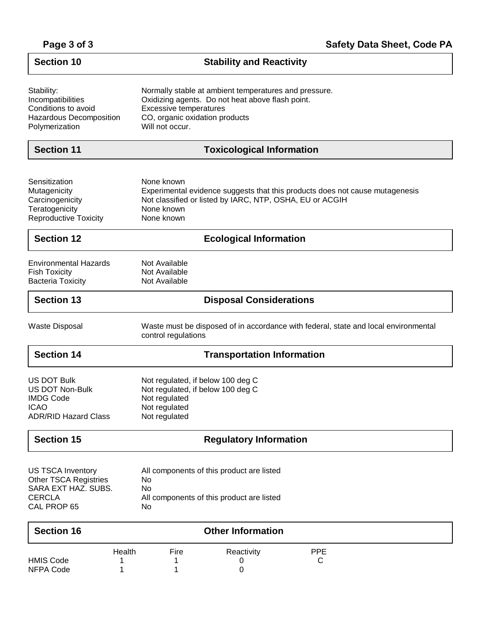| Page 3 of 3 |  |  |  |
|-------------|--|--|--|
|-------------|--|--|--|

| <b>Section 10</b>                                                                                               | <b>Stability and Reactivity</b>                                                                                                                                                          |  |
|-----------------------------------------------------------------------------------------------------------------|------------------------------------------------------------------------------------------------------------------------------------------------------------------------------------------|--|
| Stability:<br>Incompatibilities<br>Conditions to avoid<br>Hazardous Decomposition<br>Polymerization             | Normally stable at ambient temperatures and pressure.<br>Oxidizing agents. Do not heat above flash point.<br>Excessive temperatures<br>CO, organic oxidation products<br>Will not occur. |  |
| <b>Section 11</b>                                                                                               | <b>Toxicological Information</b>                                                                                                                                                         |  |
| Sensitization<br>Mutagenicity<br>Carcinogenicity<br>Teratogenicity<br><b>Reproductive Toxicity</b>              | None known<br>Experimental evidence suggests that this products does not cause mutagenesis<br>Not classified or listed by IARC, NTP, OSHA, EU or ACGIH<br>None known<br>None known       |  |
| <b>Section 12</b>                                                                                               | <b>Ecological Information</b>                                                                                                                                                            |  |
| <b>Environmental Hazards</b><br><b>Fish Toxicity</b><br><b>Bacteria Toxicity</b>                                | Not Available<br>Not Available<br>Not Available                                                                                                                                          |  |
| <b>Section 13</b>                                                                                               | <b>Disposal Considerations</b>                                                                                                                                                           |  |
| <b>Waste Disposal</b>                                                                                           | Waste must be disposed of in accordance with federal, state and local environmental<br>control regulations                                                                               |  |
| <b>Section 14</b>                                                                                               | <b>Transportation Information</b>                                                                                                                                                        |  |
| <b>US DOT Bulk</b><br><b>US DOT Non-Bulk</b><br><b>IMDG Code</b><br><b>ICAO</b><br><b>ADR/RID Hazard Class</b>  | Not regulated, if below 100 deg C<br>Not regulated, if below 100 deg C<br>Not regulated<br>Not regulated<br>Not regulated                                                                |  |
| <b>Section 15</b>                                                                                               | <b>Regulatory Information</b>                                                                                                                                                            |  |
| <b>US TSCA Inventory</b><br><b>Other TSCA Registries</b><br>SARA EXT HAZ. SUBS.<br><b>CERCLA</b><br>CAL PROP 65 | All components of this product are listed<br>No<br>No<br>All components of this product are listed<br>No                                                                                 |  |
| <b>Section 16</b>                                                                                               | <b>Other Information</b>                                                                                                                                                                 |  |
| <b>HMIS Code</b><br>NFPA Code                                                                                   | Health<br>Fire<br><b>PPE</b><br>Reactivity<br>C<br>0<br>0<br>1<br>1                                                                                                                      |  |